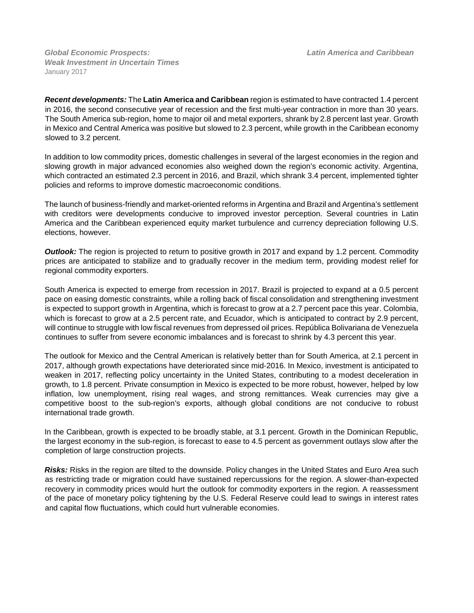*Global Economic Prospects:**Latin America and Caribbean Weak Investment in Uncertain Times* January 2017

*Recent developments:* The **Latin America and Caribbean** region is estimated to have contracted 1.4 percent in 2016, the second consecutive year of recession and the first multi-year contraction in more than 30 years. The South America sub-region, home to major oil and metal exporters, shrank by 2.8 percent last year. Growth in Mexico and Central America was positive but slowed to 2.3 percent, while growth in the Caribbean economy slowed to 3.2 percent.

In addition to low commodity prices, domestic challenges in several of the largest economies in the region and slowing growth in major advanced economies also weighed down the region's economic activity. Argentina, which contracted an estimated 2.3 percent in 2016, and Brazil, which shrank 3.4 percent, implemented tighter policies and reforms to improve domestic macroeconomic conditions.

The launch of business-friendly and market-oriented reforms in Argentina and Brazil and Argentina's settlement with creditors were developments conducive to improved investor perception. Several countries in Latin America and the Caribbean experienced equity market turbulence and currency depreciation following U.S. elections, however.

**Outlook:** The region is projected to return to positive growth in 2017 and expand by 1.2 percent. Commodity prices are anticipated to stabilize and to gradually recover in the medium term, providing modest relief for regional commodity exporters.

South America is expected to emerge from recession in 2017. Brazil is projected to expand at a 0.5 percent pace on easing domestic constraints, while a rolling back of fiscal consolidation and strengthening investment is expected to support growth in Argentina, which is forecast to grow at a 2.7 percent pace this year. Colombia, which is forecast to grow at a 2.5 percent rate, and Ecuador, which is anticipated to contract by 2.9 percent, will continue to struggle with low fiscal revenues from depressed oil prices. República Bolivariana de Venezuela continues to suffer from severe economic imbalances and is forecast to shrink by 4.3 percent this year.

The outlook for Mexico and the Central American is relatively better than for South America, at 2.1 percent in 2017, although growth expectations have deteriorated since mid-2016. In Mexico, investment is anticipated to weaken in 2017, reflecting policy uncertainty in the United States, contributing to a modest deceleration in growth, to 1.8 percent. Private consumption in Mexico is expected to be more robust, however, helped by low inflation, low unemployment, rising real wages, and strong remittances. Weak currencies may give a competitive boost to the sub-region's exports, although global conditions are not conducive to robust international trade growth.

In the Caribbean, growth is expected to be broadly stable, at 3.1 percent. Growth in the Dominican Republic, the largest economy in the sub-region, is forecast to ease to 4.5 percent as government outlays slow after the completion of large construction projects.

*Risks:* Risks in the region are tilted to the downside. Policy changes in the United States and Euro Area such as restricting trade or migration could have sustained repercussions for the region. A slower-than-expected recovery in commodity prices would hurt the outlook for commodity exporters in the region. A reassessment of the pace of monetary policy tightening by the U.S. Federal Reserve could lead to swings in interest rates and capital flow fluctuations, which could hurt vulnerable economies.